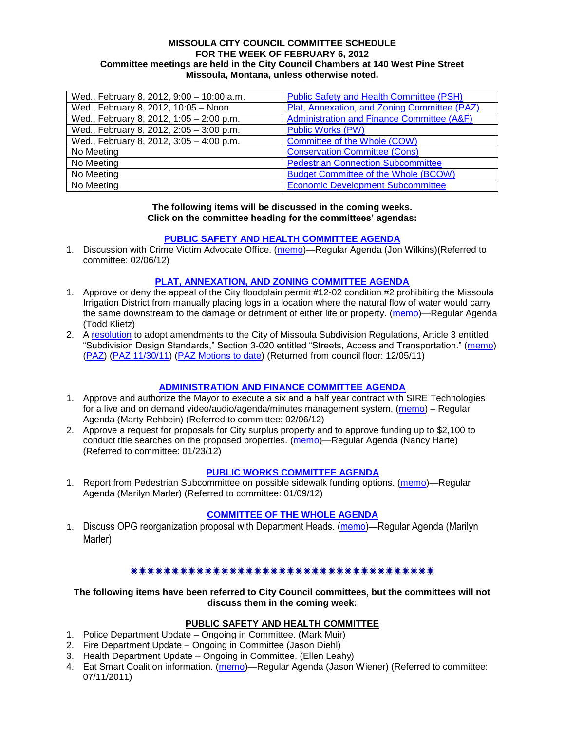#### **MISSOULA CITY COUNCIL COMMITTEE SCHEDULE FOR THE WEEK OF FEBRUARY 6, 2012 Committee meetings are held in the City Council Chambers at 140 West Pine Street Missoula, Montana, unless otherwise noted.**

| Wed., February 8, 2012, 9:00 - 10:00 a.m. | <b>Public Safety and Health Committee (PSH)</b> |
|-------------------------------------------|-------------------------------------------------|
| Wed., February 8, 2012, 10:05 - Noon      | Plat, Annexation, and Zoning Committee (PAZ)    |
| Wed., February 8, 2012, 1:05 - 2:00 p.m.  | Administration and Finance Committee (A&F)      |
| Wed., February 8, 2012, 2:05 - 3:00 p.m.  | <b>Public Works (PW)</b>                        |
| Wed., February 8, 2012, 3:05 - 4:00 p.m.  | Committee of the Whole (COW)                    |
| No Meeting                                | <b>Conservation Committee (Cons)</b>            |
| No Meeting                                | <b>Pedestrian Connection Subcommittee</b>       |
| No Meeting                                | <b>Budget Committee of the Whole (BCOW)</b>     |
| No Meeting                                | <b>Economic Development Subcommittee</b>        |

#### **The following items will be discussed in the coming weeks. Click on the committee heading for the committees' agendas:**

### **[PUBLIC SAFETY AND HEALTH COMMITTEE AGENDA](http://www.ci.missoula.mt.us/DocumentCenterii.aspx?FID=836)**

1. Discussion with Crime Victim Advocate Office. [\(memo\)](http://www.ci.missoula.mt.us/DocumentView.aspx?DID=8109)—Regular Agenda (Jon Wilkins)(Referred to committee: 02/06/12)

### **[PLAT, ANNEXATION, AND ZONING COMMITTEE AGENDA](http://www.ci.missoula.mt.us/DocumentCenterii.aspx?FID=831)**

- 1. Approve or deny the appeal of the City floodplain permit #12-02 condition #2 prohibiting the Missoula Irrigation District from manually placing logs in a location where the natural flow of water would carry the same downstream to the damage or detriment of either life or property. [\(memo\)](http://www.ci.missoula.mt.us/DocumentView.aspx?DID=8119)—Regular Agenda (Todd Klietz)
- 2. A [resolution](http://www.ci.missoula.mt.us/DocumentView.aspx?DID=7484) to adopt amendments to the City of Missoula Subdivision Regulations, Article 3 entitled ―Subdivision Design Standards,‖ Section 3-020 entitled ―Streets, Access and Transportation.‖ [\(memo\)](http://www.ci.missoula.mt.us/DocumentView.aspx?DID=7491) [\(PAZ\)](http://www.ci.missoula.mt.us/Archive.aspx?ADID=4684) [\(PAZ 11/30/11\)](http://www.ci.missoula.mt.us/Archive.aspx?ADID=4786) [\(PAZ Motions to date\)](http://www.ci.missoula.mt.us/DocumentView.aspx?DID=8115) (Returned from council floor: 12/05/11)

### **[ADMINISTRATION AND FINANCE COMMITTEE](http://www.ci.missoula.mt.us/DocumentCenterii.aspx?FID=830) AGENDA**

- 1. Approve and authorize the Mayor to execute a six and a half year contract with SIRE Technologies for a live and on demand video/audio/agenda/minutes management system. [\(memo\)](http://www.ci.missoula.mt.us/DocumentView.aspx?DID=8110) – Regular Agenda (Marty Rehbein) (Referred to committee: 02/06/12)
- 2. Approve a request for proposals for City surplus property and to approve funding up to \$2,100 to conduct title searches on the proposed properties. [\(memo\)](http://www.ci.missoula.mt.us/DocumentView.aspx?DID=8007)—Regular Agenda (Nancy Harte) (Referred to committee: 01/23/12)

### **[PUBLIC WORKS COMMITTEE](http://www.ci.missoula.mt.us/DocumentCenterii.aspx?FID=833) AGENDA**

1. Report from Pedestrian Subcommittee on possible sidewalk funding options. [\(memo\)](http://www.ci.missoula.mt.us/DocumentView.aspx?DID=7922)—Regular Agenda (Marilyn Marler) (Referred to committee: 01/09/12)

### **[COMMITTEE OF THE WHOLE AGENDA](http://www.ci.missoula.mt.us/DocumentCenterii.aspx?FID=834)**

1. Discuss OPG reorganization proposal with Department Heads. [\(memo\)](http://www.ci.missoula.mt.us/DocumentView.aspx?DID=8122)—Regular Agenda (Marilyn Marler)

### \*\*\*\*\*\*\*\*\*\*\*\*\*\*\*\*\*\*\*\*\*\*\*\*\*\*\*\*\*\*\*\*\*\*\*\*

### **The following items have been referred to City Council committees, but the committees will not discuss them in the coming week:**

# **PUBLIC SAFETY AND HEALTH COMMITTEE**

- 1. Police Department Update Ongoing in Committee. (Mark Muir)
- 2. Fire Department Update Ongoing in Committee (Jason Diehl)
- 3. Health Department Update Ongoing in Committee. (Ellen Leahy)
- 4. Eat Smart Coalition information. [\(memo\)](http://www.ci.missoula.mt.us/DocumentView.aspx?DID=6776)—Regular Agenda (Jason Wiener) (Referred to committee: 07/11/2011)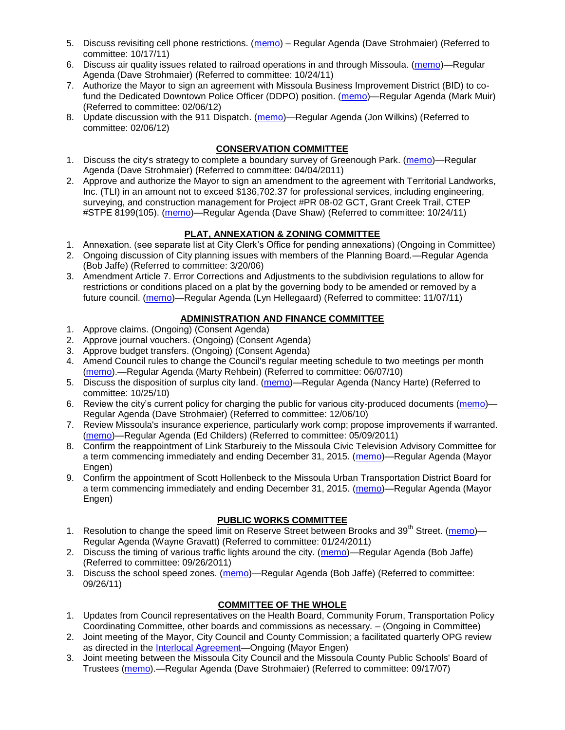- 5. Discuss revisiting cell phone restrictions. [\(memo\)](http://www.ci.missoula.mt.us/DocumentView.aspx?DID=7420) Regular Agenda (Dave Strohmaier) (Referred to committee: 10/17/11)
- 6. Discuss air quality issues related to railroad operations in and through Missoula. [\(memo\)](http://www.ci.missoula.mt.us/DocumentView.aspx?DID=7495)—Regular Agenda (Dave Strohmaier) (Referred to committee: 10/24/11)
- 7. Authorize the Mayor to sign an agreement with Missoula Business Improvement District (BID) to co-fund the Dedicated Downtown Police Officer (DDPO) position. [\(memo\)](http://www.ci.missoula.mt.us/DocumentView.aspx?DID=8108)—Regular Agenda (Mark Muir) (Referred to committee: 02/06/12)
- 8. Update discussion with the 911 Dispatch. [\(memo\)](http://www.ci.missoula.mt.us/DocumentView.aspx?DID=8107)—Regular Agenda (Jon Wilkins) (Referred to committee: 02/06/12)

## **CONSERVATION COMMITTEE**

- 1. Discuss the city's strategy to complete a boundary survey of Greenough Park. [\(memo\)](http://www.ci.missoula.mt.us/DocumentView.aspx?DID=5875)—Regular Agenda (Dave Strohmaier) (Referred to committee: 04/04/2011)
- 2. Approve and authorize the Mayor to sign an amendment to the agreement with Territorial Landworks, Inc. (TLI) in an amount not to exceed \$136,702.37 for professional services, including engineering, surveying, and construction management for Project #PR 08-02 GCT, Grant Creek Trail, CTEP #STPE 8199(105). [\(memo\)](http://www.ci.missoula.mt.us/DocumentView.aspx?DID=7494)—Regular Agenda (Dave Shaw) (Referred to committee: 10/24/11)

## **PLAT, ANNEXATION & ZONING COMMITTEE**

- 1. Annexation. (see separate list at City Clerk's Office for pending annexations) (Ongoing in Committee)
- 2. Ongoing discussion of City planning issues with members of the Planning Board.—Regular Agenda (Bob Jaffe) (Referred to committee: 3/20/06)
- 3. Amendment Article 7. Error Corrections and Adjustments to the subdivision regulations to allow for restrictions or conditions placed on a plat by the governing body to be amended or removed by a future council. [\(memo\)](http://www.ci.missoula.mt.us/DocumentView.aspx?DID=7568)—Regular Agenda (Lyn Hellegaard) (Referred to committee: 11/07/11)

## **ADMINISTRATION AND FINANCE COMMITTEE**

- 1. Approve claims. (Ongoing) (Consent Agenda)
- 2. Approve journal vouchers. (Ongoing) (Consent Agenda)
- 3. Approve budget transfers. (Ongoing) (Consent Agenda)
- 4. Amend Council rules to change the Council's regular meeting schedule to two meetings per month [\(memo\)](http://www.ci.missoula.mt.us/DocumentView.aspx?DID=4027).—Regular Agenda (Marty Rehbein) (Referred to committee: 06/07/10)
- 5. Discuss the disposition of surplus city land. [\(memo\)](http://www.ci.missoula.mt.us/DocumentView.aspx?DID=4862)—Regular Agenda (Nancy Harte) (Referred to committee: 10/25/10)
- 6. Review the city's current policy for charging the public for various city-produced documents [\(memo\)](http://www.ci.missoula.mt.us/DocumentView.aspx?DID=5143) Regular Agenda (Dave Strohmaier) (Referred to committee: 12/06/10)
- 7. Review Missoula's insurance experience, particularly work comp; propose improvements if warranted. [\(memo\)](http://www.ci.missoula.mt.us/DocumentView.aspx?DID=6381)—Regular Agenda (Ed Childers) (Referred to committee: 05/09/2011)
- 8. Confirm the reappointment of Link Starbureiy to the Missoula Civic Television Advisory Committee for a term commencing immediately and ending December 31, 2015. [\(memo\)](http://www.ci.missoula.mt.us/DocumentView.aspx?DID=8044)—Regular Agenda (Mayor Engen)
- 9. Confirm the appointment of Scott Hollenbeck to the Missoula Urban Transportation District Board for a term commencing immediately and ending December 31, 2015. [\(memo\)](http://www.ci.missoula.mt.us/DocumentView.aspx?DID=8044)—Regular Agenda (Mayor Engen)

# **PUBLIC WORKS COMMITTEE**

- 1. Resolution to change the speed limit on Reserve Street between Brooks and 39<sup>th</sup> Street. [\(memo\)](http://www.ci.missoula.mt.us/DocumentView.aspx?DID=5418) Regular Agenda (Wayne Gravatt) (Referred to committee: 01/24/2011)
- 2. Discuss the timing of various traffic lights around the city. [\(memo\)](http://www.ci.missoula.mt.us/DocumentView.aspx?DID=7322)—Regular Agenda (Bob Jaffe) (Referred to committee: 09/26/2011)
- 3. Discuss the school speed zones. [\(memo\)](http://www.ci.missoula.mt.us/DocumentView.aspx?DID=7321)—Regular Agenda (Bob Jaffe) (Referred to committee: 09/26/11)

# **COMMITTEE OF THE WHOLE**

- 1. Updates from Council representatives on the Health Board, Community Forum, Transportation Policy Coordinating Committee, other boards and commissions as necessary. – (Ongoing in Committee)
- 2. Joint meeting of the Mayor, City Council and County Commission; a facilitated quarterly OPG review as directed in the **Interlocal Agreement**—Ongoing (Mayor Engen)
- 3. Joint meeting between the Missoula City Council and the Missoula County Public Schools' Board of Trustees [\(memo\)](ftp://ftp.ci.missoula.mt.us/Packets/Council/2007/2007-09-17/Referrals/Council_School_Board_referral.pdf).—Regular Agenda (Dave Strohmaier) (Referred to committee: 09/17/07)